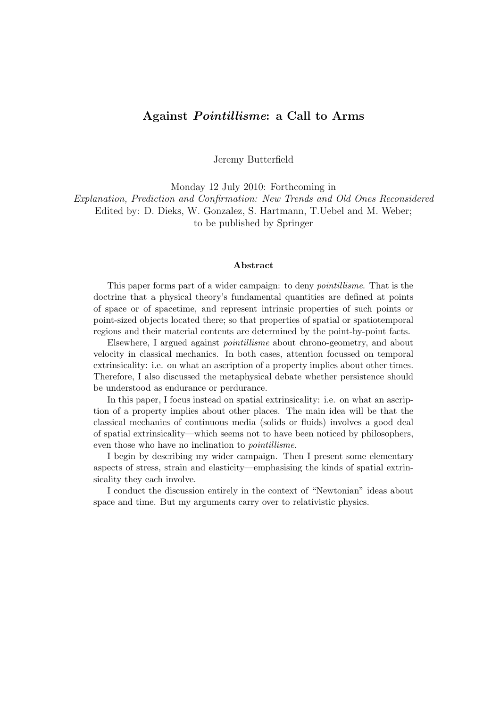### Against Pointillisme: a Call to Arms

Jeremy Butterfield

Monday 12 July 2010: Forthcoming in Explanation, Prediction and Confirmation: New Trends and Old Ones Reconsidered Edited by: D. Dieks, W. Gonzalez, S. Hartmann, T.Uebel and M. Weber; to be published by Springer

#### Abstract

This paper forms part of a wider campaign: to deny pointillisme. That is the doctrine that a physical theory's fundamental quantities are defined at points of space or of spacetime, and represent intrinsic properties of such points or point-sized objects located there; so that properties of spatial or spatiotemporal regions and their material contents are determined by the point-by-point facts.

Elsewhere, I argued against pointillisme about chrono-geometry, and about velocity in classical mechanics. In both cases, attention focussed on temporal extrinsicality: i.e. on what an ascription of a property implies about other times. Therefore, I also discussed the metaphysical debate whether persistence should be understood as endurance or perdurance.

In this paper, I focus instead on spatial extrinsicality: i.e. on what an ascription of a property implies about other places. The main idea will be that the classical mechanics of continuous media (solids or fluids) involves a good deal of spatial extrinsicality—which seems not to have been noticed by philosophers, even those who have no inclination to pointillisme.

I begin by describing my wider campaign. Then I present some elementary aspects of stress, strain and elasticity—emphasising the kinds of spatial extrinsicality they each involve.

I conduct the discussion entirely in the context of "Newtonian" ideas about space and time. But my arguments carry over to relativistic physics.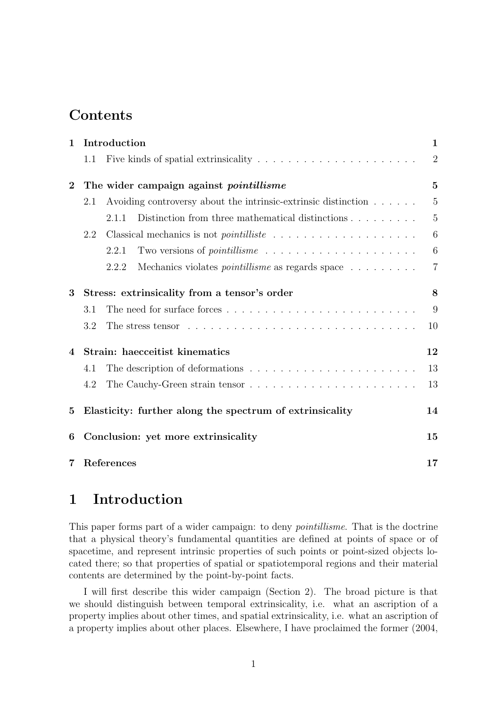# Contents

| $\mathbf 1$    | Introduction                                             |       |                                                                                           | $\mathbf{1}$   |
|----------------|----------------------------------------------------------|-------|-------------------------------------------------------------------------------------------|----------------|
|                | 1.1                                                      |       |                                                                                           | $\overline{2}$ |
| $\overline{2}$ | The wider campaign against <i>pointillisme</i>           |       |                                                                                           | $\overline{5}$ |
|                | 2.1                                                      |       | Avoiding controversy about the intrinsic-extrinsic distinction                            | 5              |
|                |                                                          | 2.1.1 |                                                                                           | $\overline{5}$ |
|                | 2.2                                                      |       |                                                                                           |                |
|                |                                                          | 2.2.1 | Two versions of <i>pointillisme</i> $\ldots \ldots \ldots \ldots \ldots \ldots$           | 6              |
|                |                                                          | 2.2.2 | Mechanics violates <i>pointillisme</i> as regards space                                   | $\overline{7}$ |
| 3              | Stress: extrinsicality from a tensor's order             |       |                                                                                           | 8              |
|                | 3.1                                                      |       |                                                                                           | 9              |
|                | 3.2                                                      |       | The stress tensor $\ldots \ldots \ldots \ldots \ldots \ldots \ldots \ldots \ldots \ldots$ | 10             |
| 4              | Strain: haecceitist kinematics                           |       |                                                                                           | 12             |
|                | 4.1                                                      |       | The description of deformations $\ldots \ldots \ldots \ldots \ldots \ldots \ldots \ldots$ | 13             |
|                | 4.2                                                      |       |                                                                                           | 13             |
| $\bf{5}$       | Elasticity: further along the spectrum of extrinsicality |       |                                                                                           | 14             |
| 6              | Conclusion: yet more extrinsicality                      |       |                                                                                           | 15             |
| $\overline{7}$ | References                                               |       |                                                                                           | 17             |

# 1 Introduction

This paper forms part of a wider campaign: to deny *pointillisme*. That is the doctrine that a physical theory's fundamental quantities are defined at points of space or of spacetime, and represent intrinsic properties of such points or point-sized objects located there; so that properties of spatial or spatiotemporal regions and their material contents are determined by the point-by-point facts.

I will first describe this wider campaign (Section 2). The broad picture is that we should distinguish between temporal extrinsicality, i.e. what an ascription of a property implies about other times, and spatial extrinsicality, i.e. what an ascription of a property implies about other places. Elsewhere, I have proclaimed the former (2004,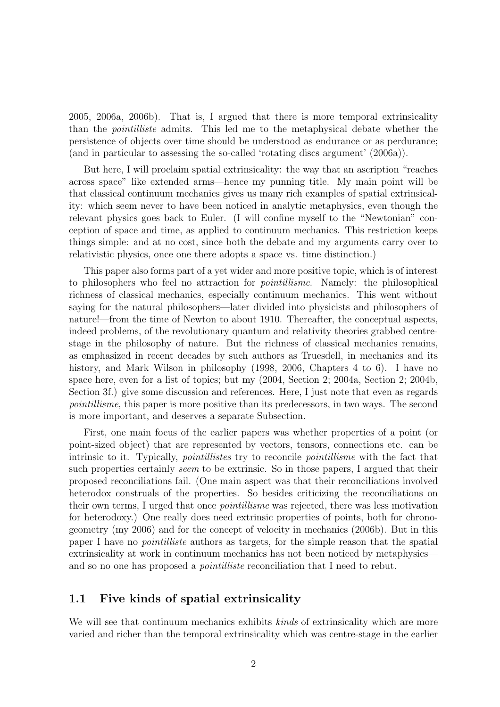2005, 2006a, 2006b). That is, I argued that there is more temporal extrinsicality than the pointilliste admits. This led me to the metaphysical debate whether the persistence of objects over time should be understood as endurance or as perdurance; (and in particular to assessing the so-called 'rotating discs argument' (2006a)).

But here, I will proclaim spatial extrinsicality: the way that an ascription "reaches across space" like extended arms—hence my punning title. My main point will be that classical continuum mechanics gives us many rich examples of spatial extrinsicality: which seem never to have been noticed in analytic metaphysics, even though the relevant physics goes back to Euler. (I will confine myself to the "Newtonian" conception of space and time, as applied to continuum mechanics. This restriction keeps things simple: and at no cost, since both the debate and my arguments carry over to relativistic physics, once one there adopts a space vs. time distinction.)

This paper also forms part of a yet wider and more positive topic, which is of interest to philosophers who feel no attraction for pointillisme. Namely: the philosophical richness of classical mechanics, especially continuum mechanics. This went without saying for the natural philosophers—later divided into physicists and philosophers of nature!—from the time of Newton to about 1910. Thereafter, the conceptual aspects, indeed problems, of the revolutionary quantum and relativity theories grabbed centrestage in the philosophy of nature. But the richness of classical mechanics remains, as emphasized in recent decades by such authors as Truesdell, in mechanics and its history, and Mark Wilson in philosophy (1998, 2006, Chapters 4 to 6). I have no space here, even for a list of topics; but my (2004, Section 2; 2004a, Section 2; 2004b, Section 3f.) give some discussion and references. Here, I just note that even as regards pointillisme, this paper is more positive than its predecessors, in two ways. The second is more important, and deserves a separate Subsection.

First, one main focus of the earlier papers was whether properties of a point (or point-sized object) that are represented by vectors, tensors, connections etc. can be intrinsic to it. Typically, *pointillistes* try to reconcile *pointillisme* with the fact that such properties certainly seem to be extrinsic. So in those papers, I argued that their proposed reconciliations fail. (One main aspect was that their reconciliations involved heterodox construals of the properties. So besides criticizing the reconciliations on their own terms, I urged that once pointillisme was rejected, there was less motivation for heterodoxy.) One really does need extrinsic properties of points, both for chronogeometry (my 2006) and for the concept of velocity in mechanics (2006b). But in this paper I have no pointilliste authors as targets, for the simple reason that the spatial extrinsicality at work in continuum mechanics has not been noticed by metaphysics and so no one has proposed a *pointilliste* reconciliation that I need to rebut.

## 1.1 Five kinds of spatial extrinsicality

We will see that continuum mechanics exhibits *kinds* of extrinsicality which are more varied and richer than the temporal extrinsicality which was centre-stage in the earlier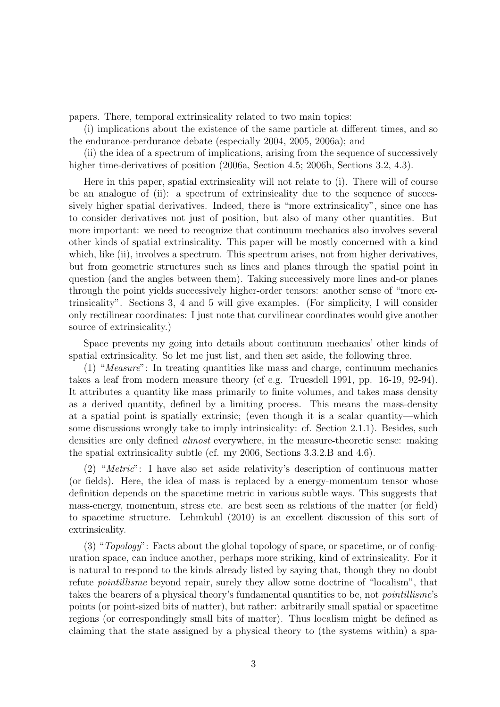papers. There, temporal extrinsicality related to two main topics:

(i) implications about the existence of the same particle at different times, and so the endurance-perdurance debate (especially 2004, 2005, 2006a); and

(ii) the idea of a spectrum of implications, arising from the sequence of successively higher time-derivatives of position (2006a, Section 4.5; 2006b, Sections 3.2, 4.3).

Here in this paper, spatial extrinsicality will not relate to (i). There will of course be an analogue of (ii): a spectrum of extrinsicality due to the sequence of successively higher spatial derivatives. Indeed, there is "more extrinsicality", since one has to consider derivatives not just of position, but also of many other quantities. But more important: we need to recognize that continuum mechanics also involves several other kinds of spatial extrinsicality. This paper will be mostly concerned with a kind which, like (ii), involves a spectrum. This spectrum arises, not from higher derivatives, but from geometric structures such as lines and planes through the spatial point in question (and the angles between them). Taking successively more lines and-or planes through the point yields successively higher-order tensors: another sense of "more extrinsicality". Sections 3, 4 and 5 will give examples. (For simplicity, I will consider only rectilinear coordinates: I just note that curvilinear coordinates would give another source of extrinsicality.)

Space prevents my going into details about continuum mechanics' other kinds of spatial extrinsicality. So let me just list, and then set aside, the following three.

(1) "Measure": In treating quantities like mass and charge, continuum mechanics takes a leaf from modern measure theory (cf e.g. Truesdell 1991, pp. 16-19, 92-94). It attributes a quantity like mass primarily to finite volumes, and takes mass density as a derived quantity, defined by a limiting process. This means the mass-density at a spatial point is spatially extrinsic; (even though it is a scalar quantity—which some discussions wrongly take to imply intrinsicality: cf. Section 2.1.1). Besides, such densities are only defined almost everywhere, in the measure-theoretic sense: making the spatial extrinsicality subtle (cf. my 2006, Sections 3.3.2.B and 4.6).

(2) "Metric": I have also set aside relativity's description of continuous matter (or fields). Here, the idea of mass is replaced by a energy-momentum tensor whose definition depends on the spacetime metric in various subtle ways. This suggests that mass-energy, momentum, stress etc. are best seen as relations of the matter (or field) to spacetime structure. Lehmkuhl (2010) is an excellent discussion of this sort of extrinsicality.

(3) "Topology": Facts about the global topology of space, or spacetime, or of configuration space, can induce another, perhaps more striking, kind of extrinsicality. For it is natural to respond to the kinds already listed by saying that, though they no doubt refute *pointillisme* beyond repair, surely they allow some doctrine of "localism", that takes the bearers of a physical theory's fundamental quantities to be, not pointillisme's points (or point-sized bits of matter), but rather: arbitrarily small spatial or spacetime regions (or correspondingly small bits of matter). Thus localism might be defined as claiming that the state assigned by a physical theory to (the systems within) a spa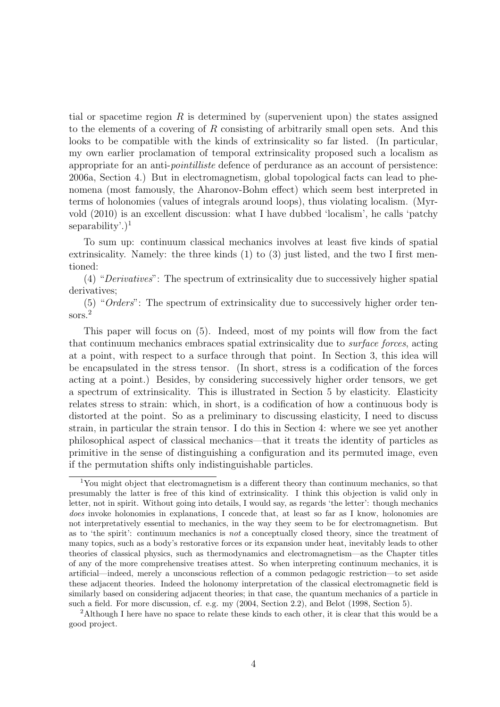tial or spacetime region  $R$  is determined by (supervenient upon) the states assigned to the elements of a covering of R consisting of arbitrarily small open sets. And this looks to be compatible with the kinds of extrinsicality so far listed. (In particular, my own earlier proclamation of temporal extrinsicality proposed such a localism as appropriate for an anti-pointilliste defence of perdurance as an account of persistence: 2006a, Section 4.) But in electromagnetism, global topological facts can lead to phenomena (most famously, the Aharonov-Bohm effect) which seem best interpreted in terms of holonomies (values of integrals around loops), thus violating localism. (Myrvold (2010) is an excellent discussion: what I have dubbed 'localism', he calls 'patchy  $separability'.$ <sup>1</sup>

To sum up: continuum classical mechanics involves at least five kinds of spatial extrinsicality. Namely: the three kinds (1) to (3) just listed, and the two I first mentioned:

(4) "Derivatives": The spectrum of extrinsicality due to successively higher spatial derivatives;

(5) "Orders": The spectrum of extrinsicality due to successively higher order tensors.<sup>2</sup>

This paper will focus on (5). Indeed, most of my points will flow from the fact that continuum mechanics embraces spatial extrinsicality due to surface forces, acting at a point, with respect to a surface through that point. In Section 3, this idea will be encapsulated in the stress tensor. (In short, stress is a codification of the forces acting at a point.) Besides, by considering successively higher order tensors, we get a spectrum of extrinsicality. This is illustrated in Section 5 by elasticity. Elasticity relates stress to strain: which, in short, is a codification of how a continuous body is distorted at the point. So as a preliminary to discussing elasticity, I need to discuss strain, in particular the strain tensor. I do this in Section 4: where we see yet another philosophical aspect of classical mechanics—that it treats the identity of particles as primitive in the sense of distinguishing a configuration and its permuted image, even if the permutation shifts only indistinguishable particles.

<sup>2</sup>Although I here have no space to relate these kinds to each other, it is clear that this would be a good project.

<sup>1</sup>You might object that electromagnetism is a different theory than continuum mechanics, so that presumably the latter is free of this kind of extrinsicality. I think this objection is valid only in letter, not in spirit. Without going into details, I would say, as regards 'the letter': though mechanics does invoke holonomies in explanations, I concede that, at least so far as I know, holonomies are not interpretatively essential to mechanics, in the way they seem to be for electromagnetism. But as to 'the spirit': continuum mechanics is not a conceptually closed theory, since the treatment of many topics, such as a body's restorative forces or its expansion under heat, inevitably leads to other theories of classical physics, such as thermodynamics and electromagnetism—as the Chapter titles of any of the more comprehensive treatises attest. So when interpreting continuum mechanics, it is artificial—indeed, merely a unconscious reflection of a common pedagogic restriction—to set aside these adjacent theories. Indeed the holonomy interpretation of the classical electromagnetic field is similarly based on considering adjacent theories; in that case, the quantum mechanics of a particle in such a field. For more discussion, cf. e.g. my (2004, Section 2.2), and Belot (1998, Section 5).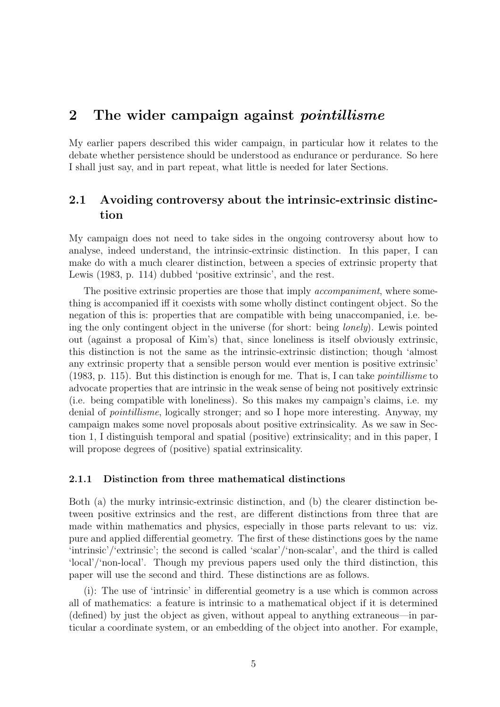## 2 The wider campaign against *pointillisme*

My earlier papers described this wider campaign, in particular how it relates to the debate whether persistence should be understood as endurance or perdurance. So here I shall just say, and in part repeat, what little is needed for later Sections.

## 2.1 Avoiding controversy about the intrinsic-extrinsic distinction

My campaign does not need to take sides in the ongoing controversy about how to analyse, indeed understand, the intrinsic-extrinsic distinction. In this paper, I can make do with a much clearer distinction, between a species of extrinsic property that Lewis (1983, p. 114) dubbed 'positive extrinsic', and the rest.

The positive extrinsic properties are those that imply *accompaniment*, where something is accompanied iff it coexists with some wholly distinct contingent object. So the negation of this is: properties that are compatible with being unaccompanied, i.e. being the only contingent object in the universe (for short: being lonely). Lewis pointed out (against a proposal of Kim's) that, since loneliness is itself obviously extrinsic, this distinction is not the same as the intrinsic-extrinsic distinction; though 'almost any extrinsic property that a sensible person would ever mention is positive extrinsic' (1983, p. 115). But this distinction is enough for me. That is, I can take pointillisme to advocate properties that are intrinsic in the weak sense of being not positively extrinsic (i.e. being compatible with loneliness). So this makes my campaign's claims, i.e. my denial of pointillisme, logically stronger; and so I hope more interesting. Anyway, my campaign makes some novel proposals about positive extrinsicality. As we saw in Section 1, I distinguish temporal and spatial (positive) extrinsicality; and in this paper, I will propose degrees of (positive) spatial extrinsicality.

#### 2.1.1 Distinction from three mathematical distinctions

Both (a) the murky intrinsic-extrinsic distinction, and (b) the clearer distinction between positive extrinsics and the rest, are different distinctions from three that are made within mathematics and physics, especially in those parts relevant to us: viz. pure and applied differential geometry. The first of these distinctions goes by the name 'intrinsic'/'extrinsic'; the second is called 'scalar'/'non-scalar', and the third is called 'local'/'non-local'. Though my previous papers used only the third distinction, this paper will use the second and third. These distinctions are as follows.

(i): The use of 'intrinsic' in differential geometry is a use which is common across all of mathematics: a feature is intrinsic to a mathematical object if it is determined (defined) by just the object as given, without appeal to anything extraneous—in particular a coordinate system, or an embedding of the object into another. For example,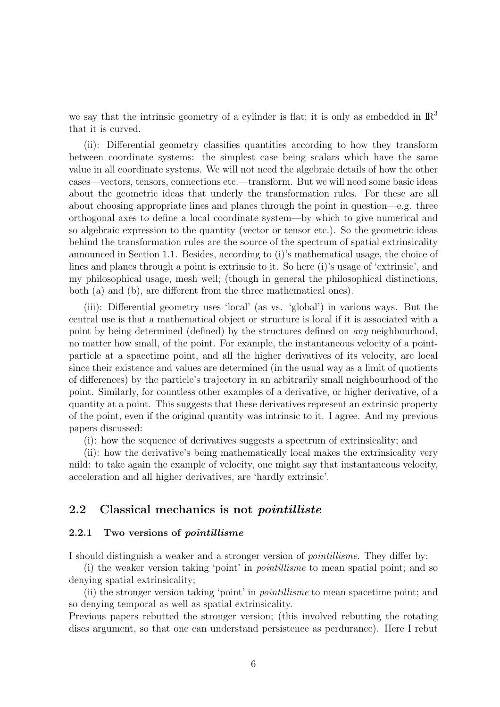we say that the intrinsic geometry of a cylinder is flat; it is only as embedded in  $\mathbb{R}^3$ that it is curved.

(ii): Differential geometry classifies quantities according to how they transform between coordinate systems: the simplest case being scalars which have the same value in all coordinate systems. We will not need the algebraic details of how the other cases—vectors, tensors, connections etc.—transform. But we will need some basic ideas about the geometric ideas that underly the transformation rules. For these are all about choosing appropriate lines and planes through the point in question—e.g. three orthogonal axes to define a local coordinate system—by which to give numerical and so algebraic expression to the quantity (vector or tensor etc.). So the geometric ideas behind the transformation rules are the source of the spectrum of spatial extrinsicality announced in Section 1.1. Besides, according to (i)'s mathematical usage, the choice of lines and planes through a point is extrinsic to it. So here (i)'s usage of 'extrinsic', and my philosophical usage, mesh well; (though in general the philosophical distinctions, both (a) and (b), are different from the three mathematical ones).

(iii): Differential geometry uses 'local' (as vs. 'global') in various ways. But the central use is that a mathematical object or structure is local if it is associated with a point by being determined (defined) by the structures defined on any neighbourhood, no matter how small, of the point. For example, the instantaneous velocity of a pointparticle at a spacetime point, and all the higher derivatives of its velocity, are local since their existence and values are determined (in the usual way as a limit of quotients of differences) by the particle's trajectory in an arbitrarily small neighbourhood of the point. Similarly, for countless other examples of a derivative, or higher derivative, of a quantity at a point. This suggests that these derivatives represent an extrinsic property of the point, even if the original quantity was intrinsic to it. I agree. And my previous papers discussed:

(i): how the sequence of derivatives suggests a spectrum of extrinsicality; and

(ii): how the derivative's being mathematically local makes the extrinsicality very mild: to take again the example of velocity, one might say that instantaneous velocity, acceleration and all higher derivatives, are 'hardly extrinsic'.

## 2.2 Classical mechanics is not *pointilliste*

#### 2.2.1 Two versions of pointillisme

I should distinguish a weaker and a stronger version of pointillisme. They differ by:

(i) the weaker version taking 'point' in pointillisme to mean spatial point; and so denying spatial extrinsicality;

(ii) the stronger version taking 'point' in pointillisme to mean spacetime point; and so denying temporal as well as spatial extrinsicality.

Previous papers rebutted the stronger version; (this involved rebutting the rotating discs argument, so that one can understand persistence as perdurance). Here I rebut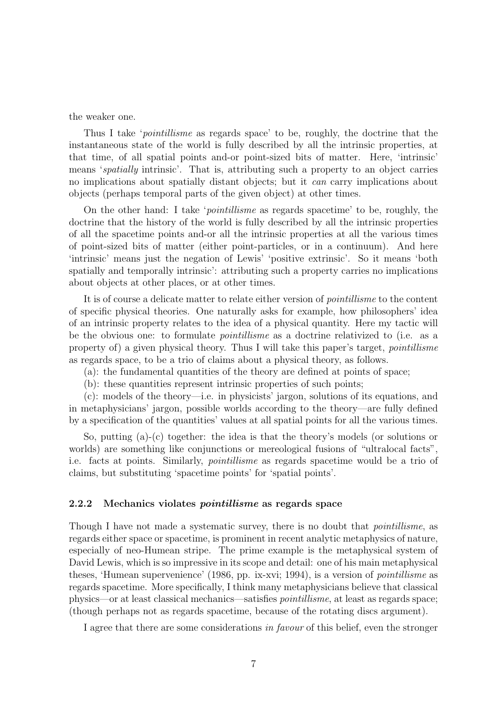the weaker one.

Thus I take 'pointillisme as regards space' to be, roughly, the doctrine that the instantaneous state of the world is fully described by all the intrinsic properties, at that time, of all spatial points and-or point-sized bits of matter. Here, 'intrinsic' means 'spatially intrinsic'. That is, attributing such a property to an object carries no implications about spatially distant objects; but it can carry implications about objects (perhaps temporal parts of the given object) at other times.

On the other hand: I take 'pointillisme as regards spacetime' to be, roughly, the doctrine that the history of the world is fully described by all the intrinsic properties of all the spacetime points and-or all the intrinsic properties at all the various times of point-sized bits of matter (either point-particles, or in a continuum). And here 'intrinsic' means just the negation of Lewis' 'positive extrinsic'. So it means 'both spatially and temporally intrinsic': attributing such a property carries no implications about objects at other places, or at other times.

It is of course a delicate matter to relate either version of pointillisme to the content of specific physical theories. One naturally asks for example, how philosophers' idea of an intrinsic property relates to the idea of a physical quantity. Here my tactic will be the obvious one: to formulate pointillisme as a doctrine relativized to (i.e. as a property of) a given physical theory. Thus I will take this paper's target, pointillisme as regards space, to be a trio of claims about a physical theory, as follows.

- (a): the fundamental quantities of the theory are defined at points of space;
- (b): these quantities represent intrinsic properties of such points;

(c): models of the theory—i.e. in physicists' jargon, solutions of its equations, and in metaphysicians' jargon, possible worlds according to the theory—are fully defined by a specification of the quantities' values at all spatial points for all the various times.

So, putting  $(a)-(c)$  together: the idea is that the theory's models (or solutions or worlds) are something like conjunctions or mereological fusions of "ultralocal facts", i.e. facts at points. Similarly, pointillisme as regards spacetime would be a trio of claims, but substituting 'spacetime points' for 'spatial points'.

#### 2.2.2 Mechanics violates pointillisme as regards space

Though I have not made a systematic survey, there is no doubt that *pointillisme*, as regards either space or spacetime, is prominent in recent analytic metaphysics of nature, especially of neo-Humean stripe. The prime example is the metaphysical system of David Lewis, which is so impressive in its scope and detail: one of his main metaphysical theses, 'Humean supervenience' (1986, pp. ix-xvi; 1994), is a version of pointillisme as regards spacetime. More specifically, I think many metaphysicians believe that classical physics—or at least classical mechanics—satisfies pointillisme, at least as regards space; (though perhaps not as regards spacetime, because of the rotating discs argument).

I agree that there are some considerations in favour of this belief, even the stronger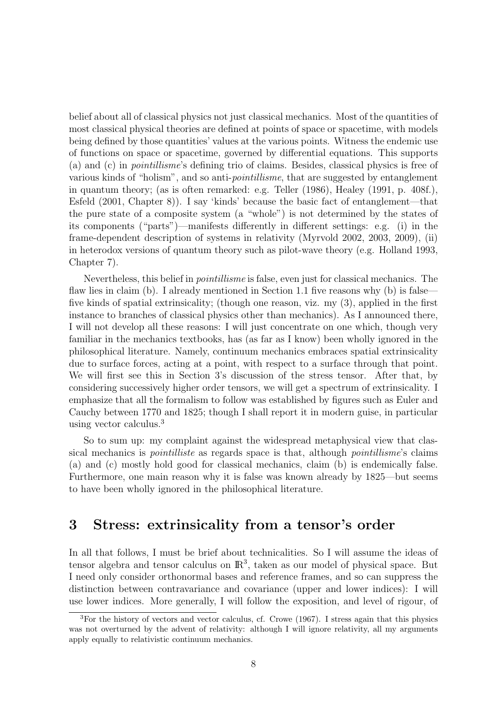belief about all of classical physics not just classical mechanics. Most of the quantities of most classical physical theories are defined at points of space or spacetime, with models being defined by those quantities' values at the various points. Witness the endemic use of functions on space or spacetime, governed by differential equations. This supports (a) and (c) in pointillisme's defining trio of claims. Besides, classical physics is free of various kinds of "holism", and so anti-pointillisme, that are suggested by entanglement in quantum theory; (as is often remarked: e.g. Teller (1986), Healey (1991, p. 408f.), Esfeld (2001, Chapter 8)). I say 'kinds' because the basic fact of entanglement—that the pure state of a composite system (a "whole") is not determined by the states of its components ("parts")—manifests differently in different settings: e.g. (i) in the frame-dependent description of systems in relativity (Myrvold 2002, 2003, 2009), (ii) in heterodox versions of quantum theory such as pilot-wave theory (e.g. Holland 1993, Chapter 7).

Nevertheless, this belief in pointillisme is false, even just for classical mechanics. The flaw lies in claim (b). I already mentioned in Section 1.1 five reasons why (b) is falsefive kinds of spatial extrinsicality; (though one reason, viz. my (3), applied in the first instance to branches of classical physics other than mechanics). As I announced there, I will not develop all these reasons: I will just concentrate on one which, though very familiar in the mechanics textbooks, has (as far as I know) been wholly ignored in the philosophical literature. Namely, continuum mechanics embraces spatial extrinsicality due to surface forces, acting at a point, with respect to a surface through that point. We will first see this in Section 3's discussion of the stress tensor. After that, by considering successively higher order tensors, we will get a spectrum of extrinsicality. I emphasize that all the formalism to follow was established by figures such as Euler and Cauchy between 1770 and 1825; though I shall report it in modern guise, in particular using vector calculus.<sup>3</sup>

So to sum up: my complaint against the widespread metaphysical view that classical mechanics is *pointilliste* as regards space is that, although *pointillisme*'s claims (a) and (c) mostly hold good for classical mechanics, claim (b) is endemically false. Furthermore, one main reason why it is false was known already by 1825—but seems to have been wholly ignored in the philosophical literature.

## 3 Stress: extrinsicality from a tensor's order

In all that follows, I must be brief about technicalities. So I will assume the ideas of tensor algebra and tensor calculus on  $\mathbb{R}^3$ , taken as our model of physical space. But I need only consider orthonormal bases and reference frames, and so can suppress the distinction between contravariance and covariance (upper and lower indices): I will use lower indices. More generally, I will follow the exposition, and level of rigour, of

 ${}^{3}$ For the history of vectors and vector calculus, cf. Crowe (1967). I stress again that this physics was not overturned by the advent of relativity: although I will ignore relativity, all my arguments apply equally to relativistic continuum mechanics.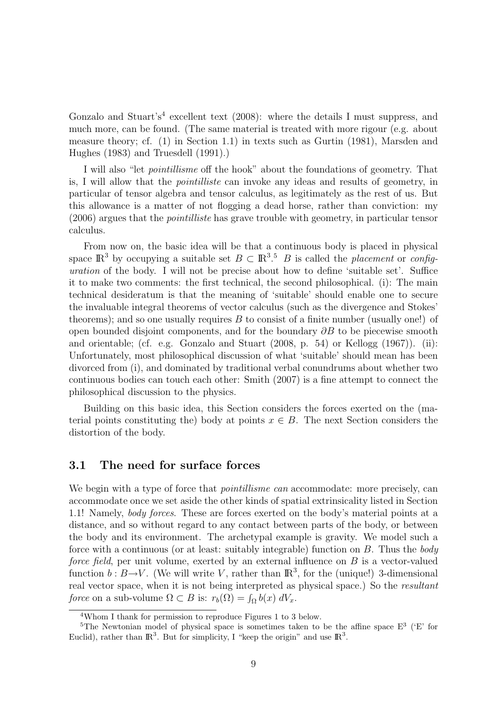Gonzalo and Stuart's<sup>4</sup> excellent text (2008): where the details I must suppress, and much more, can be found. (The same material is treated with more rigour (e.g. about measure theory; cf. (1) in Section 1.1) in texts such as Gurtin (1981), Marsden and Hughes (1983) and Truesdell (1991).)

I will also "let pointillisme off the hook" about the foundations of geometry. That is, I will allow that the *pointilliste* can invoke any ideas and results of geometry, in particular of tensor algebra and tensor calculus, as legitimately as the rest of us. But this allowance is a matter of not flogging a dead horse, rather than conviction: my (2006) argues that the pointilliste has grave trouble with geometry, in particular tensor calculus.

From now on, the basic idea will be that a continuous body is placed in physical space  $\mathbb{R}^3$  by occupying a suitable set  $B \subset \mathbb{R}^{3.5}$  B is called the placement or configuration of the body. I will not be precise about how to define 'suitable set'. Suffice it to make two comments: the first technical, the second philosophical. (i): The main technical desideratum is that the meaning of 'suitable' should enable one to secure the invaluable integral theorems of vector calculus (such as the divergence and Stokes' theorems); and so one usually requires  $B$  to consist of a finite number (usually one!) of open bounded disjoint components, and for the boundary  $\partial B$  to be piecewise smooth and orientable; (cf. e.g. Gonzalo and Stuart (2008, p. 54) or Kellogg (1967)). (ii): Unfortunately, most philosophical discussion of what 'suitable' should mean has been divorced from (i), and dominated by traditional verbal conundrums about whether two continuous bodies can touch each other: Smith (2007) is a fine attempt to connect the philosophical discussion to the physics.

Building on this basic idea, this Section considers the forces exerted on the (material points constituting the) body at points  $x \in B$ . The next Section considers the distortion of the body.

### 3.1 The need for surface forces

We begin with a type of force that *pointillisme can* accommodate: more precisely, can accommodate once we set aside the other kinds of spatial extrinsicality listed in Section 1.1! Namely, body forces. These are forces exerted on the body's material points at a distance, and so without regard to any contact between parts of the body, or between the body and its environment. The archetypal example is gravity. We model such a force with a continuous (or at least: suitably integrable) function on  $B$ . Thus the body force field, per unit volume, exerted by an external influence on  $B$  is a vector-valued function  $b: B \to V$ . (We will write V, rather than  $\mathbb{R}^3$ , for the (unique!) 3-dimensional real vector space, when it is not being interpreted as physical space.) So the resultant force on a sub-volume  $\Omega \subset B$  is:  $r_b(\Omega) = \int_{\Omega} b(x) dV_x$ .

<sup>4</sup>Whom I thank for permission to reproduce Figures 1 to 3 below.

<sup>&</sup>lt;sup>5</sup>The Newtonian model of physical space is sometimes taken to be the affine space  $E^3$  ('E' for Euclid), rather than  $\mathbb{R}^3$ . But for simplicity, I "keep the origin" and use  $\mathbb{R}^3$ .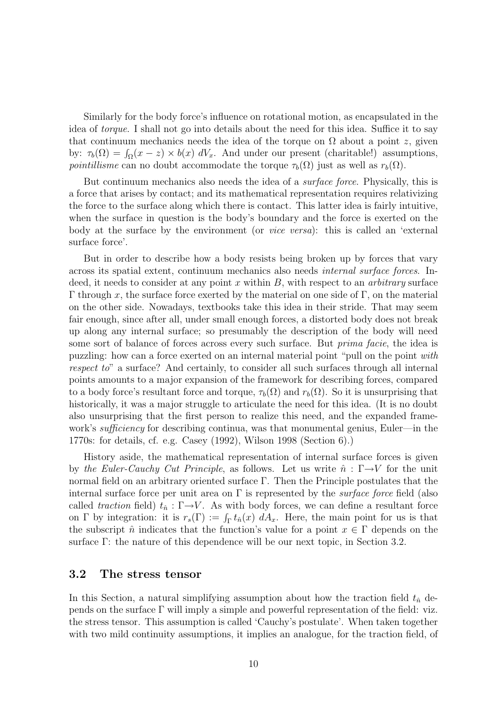Similarly for the body force's influence on rotational motion, as encapsulated in the idea of torque. I shall not go into details about the need for this idea. Suffice it to say that continuum mechanics needs the idea of the torque on  $\Omega$  about a point z, given by:  $\tau_b(\Omega) = \int_{\Omega}(x - z) \times b(x) dV_x$ . And under our present (charitable!) assumptions, *pointillisme* can no doubt accommodate the torque  $\tau_b(\Omega)$  just as well as  $r_b(\Omega)$ .

But continuum mechanics also needs the idea of a surface force. Physically, this is a force that arises by contact; and its mathematical representation requires relativizing the force to the surface along which there is contact. This latter idea is fairly intuitive, when the surface in question is the body's boundary and the force is exerted on the body at the surface by the environment (or vice versa): this is called an 'external surface force'.

But in order to describe how a body resists being broken up by forces that vary across its spatial extent, continuum mechanics also needs internal surface forces. Indeed, it needs to consider at any point x within  $B$ , with respect to an *arbitrary* surface Γ through x, the surface force exerted by the material on one side of Γ, on the material on the other side. Nowadays, textbooks take this idea in their stride. That may seem fair enough, since after all, under small enough forces, a distorted body does not break up along any internal surface; so presumably the description of the body will need some sort of balance of forces across every such surface. But prima facie, the idea is puzzling: how can a force exerted on an internal material point "pull on the point with respect to" a surface? And certainly, to consider all such surfaces through all internal points amounts to a major expansion of the framework for describing forces, compared to a body force's resultant force and torque,  $\tau_b(\Omega)$  and  $r_b(\Omega)$ . So it is unsurprising that historically, it was a major struggle to articulate the need for this idea. (It is no doubt also unsurprising that the first person to realize this need, and the expanded framework's *sufficiency* for describing continua, was that monumental genius, Euler—in the 1770s: for details, cf. e.g. Casey (1992), Wilson 1998 (Section 6).)

History aside, the mathematical representation of internal surface forces is given by the Euler-Cauchy Cut Principle, as follows. Let us write  $\hat{n} : \Gamma \rightarrow V$  for the unit normal field on an arbitrary oriented surface Γ. Then the Principle postulates that the internal surface force per unit area on  $\Gamma$  is represented by the *surface force* field (also called traction field)  $t_{\hat{n}} : \Gamma \rightarrow V$ . As with body forces, we can define a resultant force on Γ by integration: it is  $r_s(\Gamma) := \int_{\Gamma} t_{\hat{n}}(x) dA_x$ . Here, the main point for us is that the subscript  $\hat{n}$  indicates that the function's value for a point  $x \in \Gamma$  depends on the surface Γ: the nature of this dependence will be our next topic, in Section 3.2.

## 3.2 The stress tensor

In this Section, a natural simplifying assumption about how the traction field  $t_{\hat{n}}$  depends on the surface Γ will imply a simple and powerful representation of the field: viz. the stress tensor. This assumption is called 'Cauchy's postulate'. When taken together with two mild continuity assumptions, it implies an analogue, for the traction field, of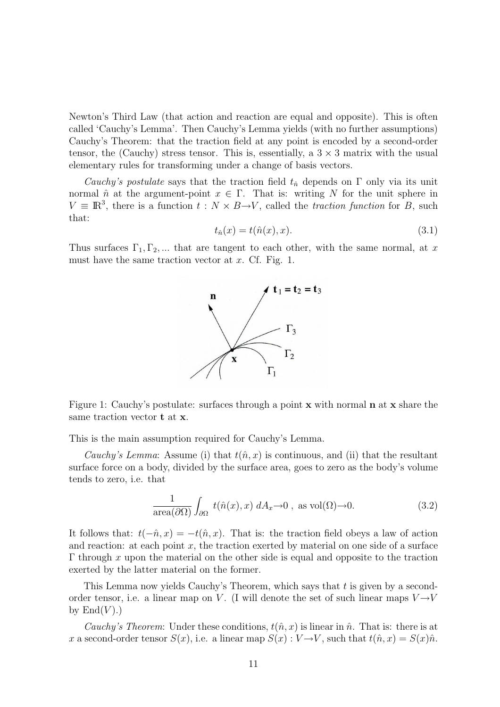Newton's Third Law (that action and reaction are equal and opposite). This is often called 'Cauchy's Lemma'. Then Cauchy's Lemma yields (with no further assumptions) Cauchy's Theorem: that the traction field at any point is encoded by a second-order tensor, the (Cauchy) stress tensor. This is, essentially, a  $3 \times 3$  matrix with the usual elementary rules for transforming under a change of basis vectors.

*Cauchy's postulate* says that the traction field  $t_{\hat{n}}$  depends on Γ only via its unit normal  $\hat{n}$  at the argument-point  $x \in \Gamma$ . That is: writing N for the unit sphere in  $V \equiv \mathbb{R}^3$ , there is a function  $t : N \times B \rightarrow V$ , called the *traction function* for B, such that:

$$
t_{\hat{n}}(x) = t(\hat{n}(x), x). \tag{3.1}
$$

Thus surfaces  $\Gamma_1, \Gamma_2, \ldots$  that are tangent to each other, with the same normal, at x must have the same traction vector at  $x$ . Cf. Fig. 1.



Figure 1: Cauchy's postulate: surfaces through a point x with normal n at x share the same traction vector **t** at **x**.

This is the main assumption required for Cauchy's Lemma.

*Cauchy's Lemma*: Assume (i) that  $t(\hat{n}, x)$  is continuous, and (ii) that the resultant surface force on a body, divided by the surface area, goes to zero as the body's volume tends to zero, i.e. that

$$
\frac{1}{\operatorname{area}(\partial \Omega)} \int_{\partial \Omega} t(\hat{n}(x), x) \, dA_x \to 0 \,, \text{ as } \operatorname{vol}(\Omega) \to 0. \tag{3.2}
$$

It follows that:  $t(-\hat{n}, x) = -t(\hat{n}, x)$ . That is: the traction field obeys a law of action and reaction: at each point  $x$ , the traction exerted by material on one side of a surface  $Γ$  through x upon the material on the other side is equal and opposite to the traction exerted by the latter material on the former.

This Lemma now yields Cauchy's Theorem, which says that  $t$  is given by a secondorder tensor, i.e. a linear map on V. (I will denote the set of such linear maps  $V \rightarrow V$ by  $\text{End}(V)$ .)

*Cauchy's Theorem*: Under these conditions,  $t(\hat{n}, x)$  is linear in  $\hat{n}$ . That is: there is at x a second-order tensor  $S(x)$ , i.e. a linear map  $S(x) : V \to V$ , such that  $t(\hat{n}, x) = S(x)\hat{n}$ .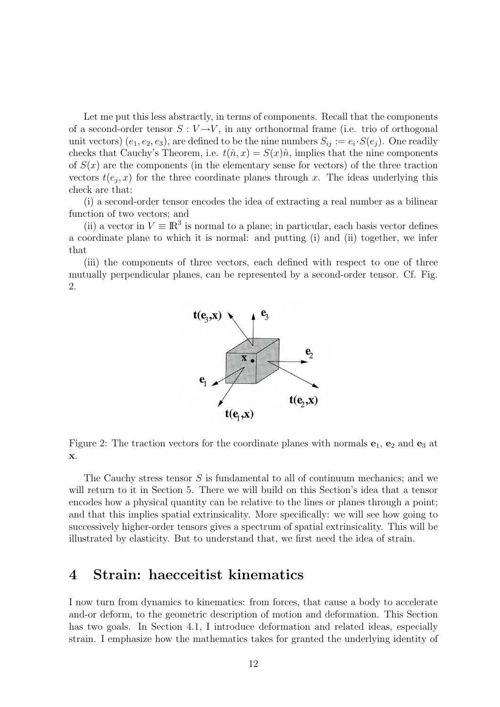Let me put this less abstractly, in terms of components. Recall that the components of a second-order tensor  $S: V \rightarrow V$ , in any orthonormal frame (i.e. trio of orthogonal unit vectors)  $(e_1, e_2, e_3)$ , are defined to be the nine numbers  $S_{ij} := e_i \cdot S(e_j)$ . One readily checks that Cauchy's Theorem, i.e.  $t(\hat{n}, x) = S(x)\hat{n}$ , implies that the nine components of  $S(x)$  are the components (in the elementary sense for vectors) of the three traction vectors  $t(e_j, x)$  for the three coordinate planes through x. The ideas underlying this check are that:

(i) a second-order tensor encodes the idea of extracting a real number as a bilinear function of two vectors; and

(ii) a vector in  $V \equiv \mathbb{R}^3$  is normal to a plane; in particular, each basis vector defines a coordinate plane to which it is normal: and putting (i) and (ii) together, we infer that

(iii) the components of three vectors, each defined with respect to one of three mutually perpendicular planes, can be represented by a second-order tensor. Cf. Fig. 2.



Figure 2: The traction vectors for the coordinate planes with normals  $e_1$ ,  $e_2$  and  $e_3$  at x.

The Cauchy stress tensor S is fundamental to all of continuum mechanics; and we will return to it in Section 5. There we will build on this Section's idea that a tensor encodes how a physical quantity can be relative to the lines or planes through a point; and that this implies spatial extrinsicality. More specifically: we will see how going to successively higher-order tensors gives a spectrum of spatial extrinsicality. This will be illustrated by elasticity. But to understand that, we first need the idea of strain.

## 4 Strain: haecceitist kinematics

I now turn from dynamics to kinematics: from forces, that cause a body to accelerate and-or deform, to the geometric description of motion and deformation. This Section has two goals. In Section 4.1, I introduce deformation and related ideas, especially strain. I emphasize how the mathematics takes for granted the underlying identity of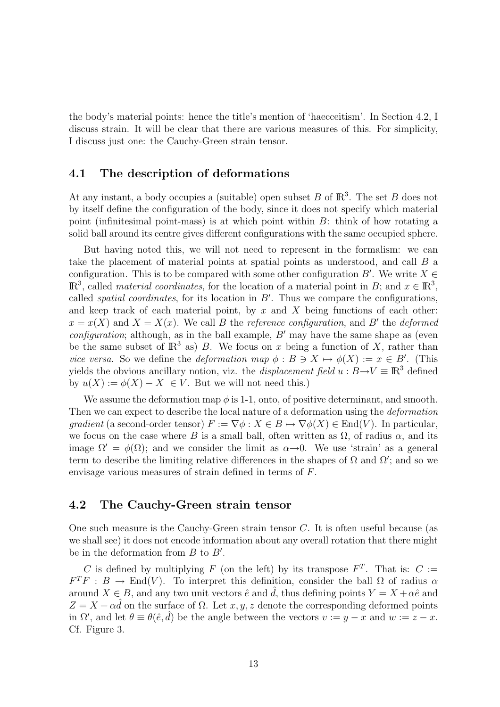the body's material points: hence the title's mention of 'haecceitism'. In Section 4.2, I discuss strain. It will be clear that there are various measures of this. For simplicity, I discuss just one: the Cauchy-Green strain tensor.

### 4.1 The description of deformations

At any instant, a body occupies a (suitable) open subset B of  $\mathbb{R}^3$ . The set B does not by itself define the configuration of the body, since it does not specify which material point (infinitesimal point-mass) is at which point within  $B$ : think of how rotating a solid ball around its centre gives different configurations with the same occupied sphere.

But having noted this, we will not need to represent in the formalism: we can take the placement of material points at spatial points as understood, and call B a configuration. This is to be compared with some other configuration B'. We write  $X \in$  $\mathbb{R}^3$ , called *material coordinates*, for the location of a material point in B; and  $x \in \mathbb{R}^3$ , called *spatial coordinates*, for its location in  $B'$ . Thus we compare the configurations, and keep track of each material point, by  $x$  and  $X$  being functions of each other:  $x = x(X)$  and  $X = X(x)$ . We call B the reference configuration, and B' the deformed *configuration*; although, as in the ball example,  $B'$  may have the same shape as (even be the same subset of  $\mathbb{R}^3$  as) B. We focus on x being a function of X, rather than vice versa. So we define the *deformation map*  $\phi : B \ni X \mapsto \phi(X) := x \in B'$ . (This yields the obvious ancillary notion, viz. the *displacement field*  $u : B \to V \equiv \mathbb{R}^3$  defined by  $u(X) := \phi(X) - X \in V$ . But we will not need this.)

We assume the deformation map  $\phi$  is 1-1, onto, of positive determinant, and smooth. Then we can expect to describe the local nature of a deformation using the *deformation* gradient (a second-order tensor)  $F := \nabla \phi : X \in B \mapsto \nabla \phi(X) \in \text{End}(V)$ . In particular, we focus on the case where B is a small ball, often written as  $\Omega$ , of radius  $\alpha$ , and its image  $\Omega' = \phi(\Omega)$ ; and we consider the limit as  $\alpha \rightarrow 0$ . We use 'strain' as a general term to describe the limiting relative differences in the shapes of  $\Omega$  and  $\Omega'$ ; and so we envisage various measures of strain defined in terms of F.

### 4.2 The Cauchy-Green strain tensor

One such measure is the Cauchy-Green strain tensor C. It is often useful because (as we shall see) it does not encode information about any overall rotation that there might be in the deformation from  $B$  to  $B'$ .

C is defined by multiplying F (on the left) by its transpose  $F^T$ . That is:  $C :=$  $F^T F : B \to \text{End}(V)$ . To interpret this definition, consider the ball  $\Omega$  of radius  $\alpha$ around  $X \in B$ , and any two unit vectors  $\hat{e}$  and  $\hat{d}$ , thus defining points  $Y = X + \alpha \hat{e}$  and  $Z = X + \alpha \bar{d}$  on the surface of  $\Omega$ . Let  $x, y, z$  denote the corresponding deformed points in  $\Omega'$ , and let  $\theta \equiv \theta(\hat{e}, \hat{d})$  be the angle between the vectors  $v := y - x$  and  $w := z - x$ . Cf. Figure 3.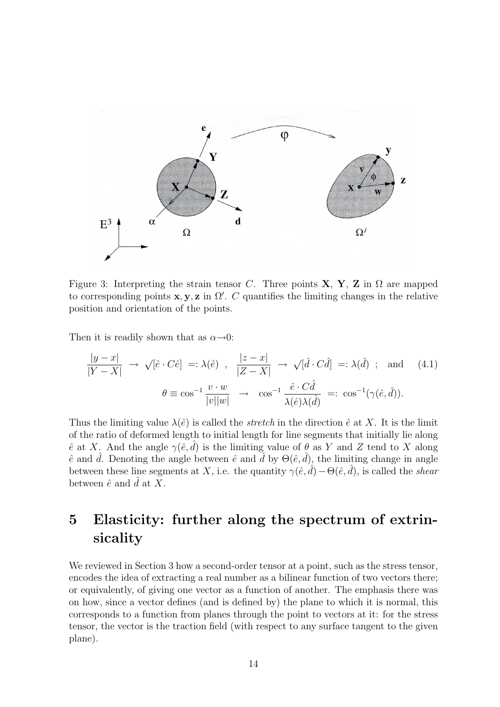

Figure 3: Interpreting the strain tensor C. Three points  $X, Y, Z$  in  $\Omega$  are mapped to corresponding points  $x, y, z$  in  $\Omega'$ . C quantifies the limiting changes in the relative position and orientation of the points.

Then it is readily shown that as  $\alpha \rightarrow 0$ :

$$
\frac{|y-x|}{|Y-X|} \to \sqrt{[\hat{e} \cdot C\hat{e}]} =: \lambda(\hat{e}), \quad \frac{|z-x|}{|Z-X|} \to \sqrt{[\hat{d} \cdot C\hat{d}]} =: \lambda(\hat{d}); \text{ and } (4.1)
$$

$$
\theta \equiv \cos^{-1}\frac{v \cdot w}{|v||w|} \to \cos^{-1}\frac{\hat{e} \cdot C\hat{d}}{\lambda(\hat{e})\lambda(\hat{d})} =: \cos^{-1}(\gamma(\hat{e}, \hat{d})).
$$

Thus the limiting value  $\lambda(\hat{e})$  is called the *stretch* in the direction  $\hat{e}$  at X. It is the limit of the ratio of deformed length to initial length for line segments that initially lie along  $\hat{e}$  at X. And the angle  $\gamma(\hat{e}, \hat{d})$  is the limiting value of  $\theta$  as Y and Z tend to X along  $\hat{e}$  and  $\hat{d}$ . Denoting the angle between  $\hat{e}$  and  $\hat{d}$  by  $\Theta(\hat{e}, \hat{d})$ , the limiting change in angle between these line segments at X, i.e. the quantity  $\gamma(\hat{e}, \hat{d}) - \Theta(\hat{e}, \hat{d})$ , is called the *shear* between  $\hat{e}$  and  $\hat{d}$  at X.

# 5 Elasticity: further along the spectrum of extrinsicality

We reviewed in Section 3 how a second-order tensor at a point, such as the stress tensor, encodes the idea of extracting a real number as a bilinear function of two vectors there; or equivalently, of giving one vector as a function of another. The emphasis there was on how, since a vector defines (and is defined by) the plane to which it is normal, this corresponds to a function from planes through the point to vectors at it: for the stress tensor, the vector is the traction field (with respect to any surface tangent to the given plane).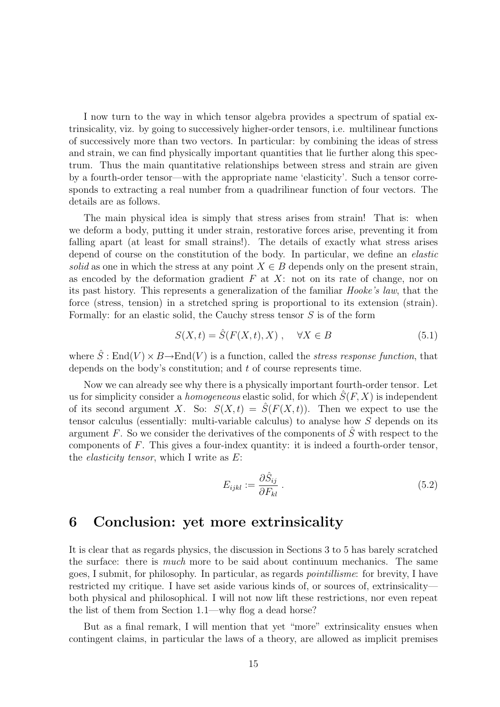I now turn to the way in which tensor algebra provides a spectrum of spatial extrinsicality, viz. by going to successively higher-order tensors, i.e. multilinear functions of successively more than two vectors. In particular: by combining the ideas of stress and strain, we can find physically important quantities that lie further along this spectrum. Thus the main quantitative relationships between stress and strain are given by a fourth-order tensor—with the appropriate name 'elasticity'. Such a tensor corresponds to extracting a real number from a quadrilinear function of four vectors. The details are as follows.

The main physical idea is simply that stress arises from strain! That is: when we deform a body, putting it under strain, restorative forces arise, preventing it from falling apart (at least for small strains!). The details of exactly what stress arises depend of course on the constitution of the body. In particular, we define an elastic solid as one in which the stress at any point  $X \in B$  depends only on the present strain, as encoded by the deformation gradient  $F$  at  $X$ : not on its rate of change, nor on its past history. This represents a generalization of the familiar Hooke's law, that the force (stress, tension) in a stretched spring is proportional to its extension (strain). Formally: for an elastic solid, the Cauchy stress tensor S is of the form

$$
S(X,t) = \hat{S}(F(X,t),X), \quad \forall X \in B \tag{5.1}
$$

where  $\hat{S}$ : End(V) × B  $\rightarrow$  End(V) is a function, called the *stress response function*, that depends on the body's constitution; and t of course represents time.

Now we can already see why there is a physically important fourth-order tensor. Let us for simplicity consider a *homogeneous* elastic solid, for which  $\hat{S}(F, X)$  is independent of its second argument X. So:  $S(X,t) = \hat{S}(F(X,t))$ . Then we expect to use the tensor calculus (essentially: multi-variable calculus) to analyse how S depends on its argument F. So we consider the derivatives of the components of  $\hat{S}$  with respect to the components of F. This gives a four-index quantity: it is indeed a fourth-order tensor, the *elasticity tensor*, which I write as  $E$ :

$$
E_{ijkl} := \frac{\partial \hat{S}_{ij}}{\partial F_{kl}} \,. \tag{5.2}
$$

## 6 Conclusion: yet more extrinsicality

It is clear that as regards physics, the discussion in Sections 3 to 5 has barely scratched the surface: there is much more to be said about continuum mechanics. The same goes, I submit, for philosophy. In particular, as regards pointillisme: for brevity, I have restricted my critique. I have set aside various kinds of, or sources of, extrinsicality both physical and philosophical. I will not now lift these restrictions, nor even repeat the list of them from Section 1.1—why flog a dead horse?

But as a final remark, I will mention that yet "more" extrinsicality ensues when contingent claims, in particular the laws of a theory, are allowed as implicit premises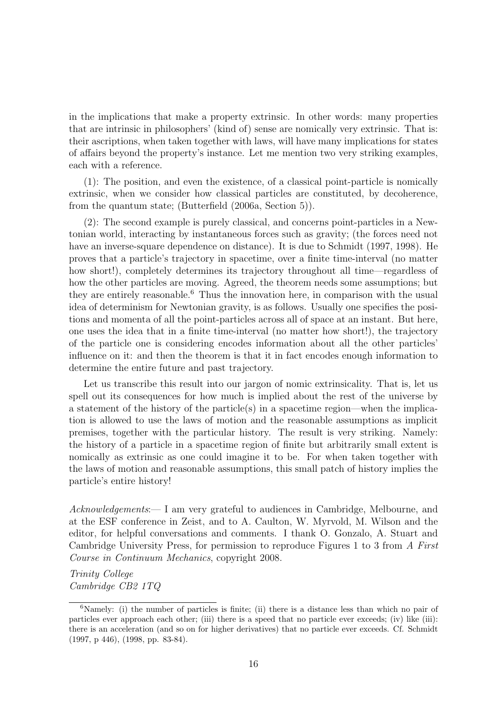in the implications that make a property extrinsic. In other words: many properties that are intrinsic in philosophers' (kind of) sense are nomically very extrinsic. That is: their ascriptions, when taken together with laws, will have many implications for states of affairs beyond the property's instance. Let me mention two very striking examples, each with a reference.

(1): The position, and even the existence, of a classical point-particle is nomically extrinsic, when we consider how classical particles are constituted, by decoherence, from the quantum state; (Butterfield (2006a, Section 5)).

(2): The second example is purely classical, and concerns point-particles in a Newtonian world, interacting by instantaneous forces such as gravity; (the forces need not have an inverse-square dependence on distance). It is due to Schmidt (1997, 1998). He proves that a particle's trajectory in spacetime, over a finite time-interval (no matter how short!), completely determines its trajectory throughout all time—regardless of how the other particles are moving. Agreed, the theorem needs some assumptions; but they are entirely reasonable.<sup>6</sup> Thus the innovation here, in comparison with the usual idea of determinism for Newtonian gravity, is as follows. Usually one specifies the positions and momenta of all the point-particles across all of space at an instant. But here, one uses the idea that in a finite time-interval (no matter how short!), the trajectory of the particle one is considering encodes information about all the other particles' influence on it: and then the theorem is that it in fact encodes enough information to determine the entire future and past trajectory.

Let us transcribe this result into our jargon of nomic extrinsicality. That is, let us spell out its consequences for how much is implied about the rest of the universe by a statement of the history of the particle(s) in a spacetime region—when the implication is allowed to use the laws of motion and the reasonable assumptions as implicit premises, together with the particular history. The result is very striking. Namely: the history of a particle in a spacetime region of finite but arbitrarily small extent is nomically as extrinsic as one could imagine it to be. For when taken together with the laws of motion and reasonable assumptions, this small patch of history implies the particle's entire history!

Acknowledgements:— I am very grateful to audiences in Cambridge, Melbourne, and at the ESF conference in Zeist, and to A. Caulton, W. Myrvold, M. Wilson and the editor, for helpful conversations and comments. I thank O. Gonzalo, A. Stuart and Cambridge University Press, for permission to reproduce Figures 1 to 3 from A First Course in Continuum Mechanics, copyright 2008.

Trinity College Cambridge CB2 1TQ

 ${}^{6}$ Namely: (i) the number of particles is finite; (ii) there is a distance less than which no pair of particles ever approach each other; (iii) there is a speed that no particle ever exceeds; (iv) like (iii): there is an acceleration (and so on for higher derivatives) that no particle ever exceeds. Cf. Schmidt (1997, p 446), (1998, pp. 83-84).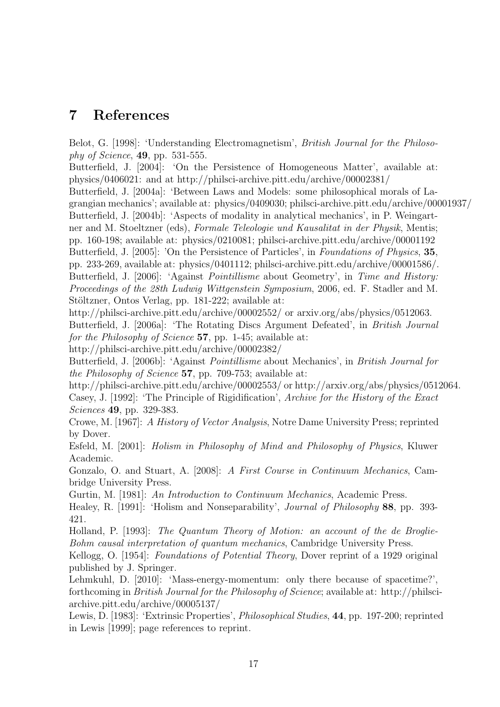# 7 References

Belot, G. [1998]: 'Understanding Electromagnetism', British Journal for the Philosophy of Science, 49, pp. 531-555.

Butterfield, J. [2004]: 'On the Persistence of Homogeneous Matter', available at: physics/0406021: and at http://philsci-archive.pitt.edu/archive/00002381/ Butterfield, J. [2004a]: 'Between Laws and Models: some philosophical morals of Lagrangian mechanics'; available at: physics/0409030; philsci-archive.pitt.edu/archive/00001937/ Butterfield, J. [2004b]: 'Aspects of modality in analytical mechanics', in P. Weingartner and M. Stoeltzner (eds), Formale Teleologie und Kausalitat in der Physik, Mentis; pp. 160-198; available at: physics/0210081; philsci-archive.pitt.edu/archive/00001192 Butterfield, J. [2005]: 'On the Persistence of Particles', in Foundations of Physics, 35, pp. 233-269, available at: physics/0401112; philsci-archive.pitt.edu/archive/00001586/. Butterfield, J. [2006]: 'Against *Pointillisme* about Geometry', in *Time and History:* Proceedings of the 28th Ludwig Wittgenstein Symposium, 2006, ed. F. Stadler and M. Stöltzner, Ontos Verlag, pp. 181-222; available at:

http://philsci-archive.pitt.edu/archive/00002552/ or arxiv.org/abs/physics/0512063. Butterfield, J. [2006a]: 'The Rotating Discs Argument Defeated', in British Journal for the Philosophy of Science 57, pp. 1-45; available at:

http://philsci-archive.pitt.edu/archive/00002382/

Butterfield, J. [2006b]: 'Against Pointillisme about Mechanics', in British Journal for the Philosophy of Science 57, pp. 709-753; available at:

http://philsci-archive.pitt.edu/archive/00002553/ or http://arxiv.org/abs/physics/0512064. Casey, J. [1992]: 'The Principle of Rigidification', Archive for the History of the Exact Sciences 49, pp. 329-383.

Crowe, M. [1967]: A History of Vector Analysis, Notre Dame University Press; reprinted by Dover.

Esfeld, M. [2001]: Holism in Philosophy of Mind and Philosophy of Physics, Kluwer Academic.

Gonzalo, O. and Stuart, A. [2008]: A First Course in Continuum Mechanics, Cambridge University Press.

Gurtin, M. [1981]: An Introduction to Continuum Mechanics, Academic Press.

Healey, R. [1991]: 'Holism and Nonseparability', Journal of Philosophy 88, pp. 393- 421.

Holland, P. [1993]: The Quantum Theory of Motion: an account of the de Broglie-Bohm causal interpretation of quantum mechanics, Cambridge University Press.

Kellogg, O. [1954]: Foundations of Potential Theory, Dover reprint of a 1929 original published by J. Springer.

Lehmkuhl, D. [2010]: 'Mass-energy-momentum: only there because of spacetime?', forthcoming in British Journal for the Philosophy of Science; available at: http://philsciarchive.pitt.edu/archive/00005137/

Lewis, D. [1983]: 'Extrinsic Properties', Philosophical Studies, 44, pp. 197-200; reprinted in Lewis [1999]; page references to reprint.